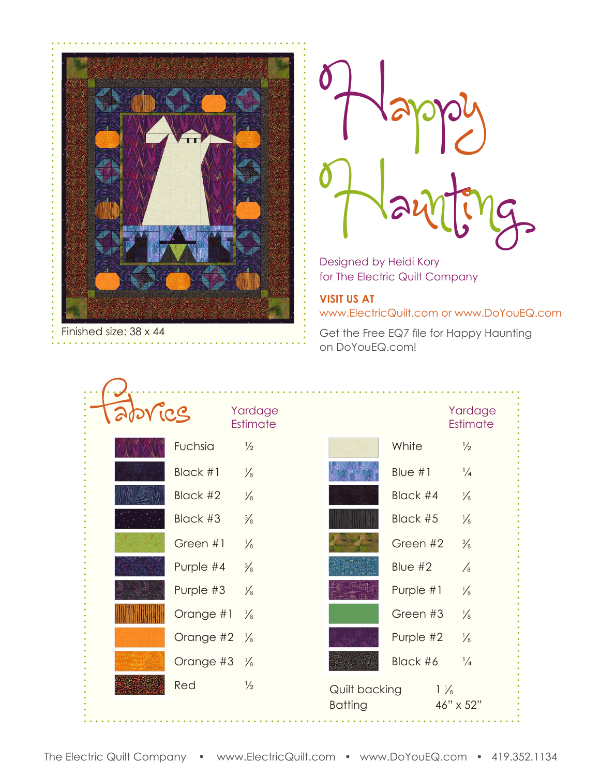

Happy Designed by Heidi Kory

Designed by Heidi Kory for The Electric Quilt Company

**VISIT US AT** www.ElectricQuilt.com or www.DoYouEQ.com

Get the Free EQ7 file for Happy Haunting on DoYouEQ.com!

| Tabvics |           | Yardage<br>Estimate |                                 |           | Yardage<br>Estimate         |
|---------|-----------|---------------------|---------------------------------|-----------|-----------------------------|
|         | Fuchsia   | $\frac{1}{2}$       |                                 | White     | $\frac{1}{2}$               |
|         | Black #1  | $\frac{1}{8}$       |                                 | Blue $#1$ | $\frac{1}{4}$               |
|         | Black #2  | $\frac{1}{8}$       |                                 | Black #4  | $\frac{1}{8}$               |
|         | Black #3  | $\frac{3}{8}$       |                                 | Black #5  | $\frac{1}{8}$               |
|         | Green #1  | $\frac{1}{8}$       |                                 | Green #2  | $\frac{3}{8}$               |
|         | Purple #4 | $\frac{3}{8}$       |                                 | Blue $#2$ | $\frac{1}{8}$               |
|         | Purple #3 | $\frac{1}{8}$       |                                 | Purple #1 | $\frac{1}{8}$               |
|         | Orange #1 | $\frac{1}{8}$       |                                 | Green #3  | $\frac{1}{8}$               |
|         | Orange #2 | $\frac{1}{8}$       |                                 | Purple #2 | $\frac{1}{8}$               |
|         | Orange #3 | $\frac{1}{8}$       |                                 | Black #6  | $\frac{1}{4}$               |
|         | Red       | $\frac{1}{2}$       | Quilt backing<br><b>Batting</b> |           | $1\frac{1}{8}$<br>46" x 52" |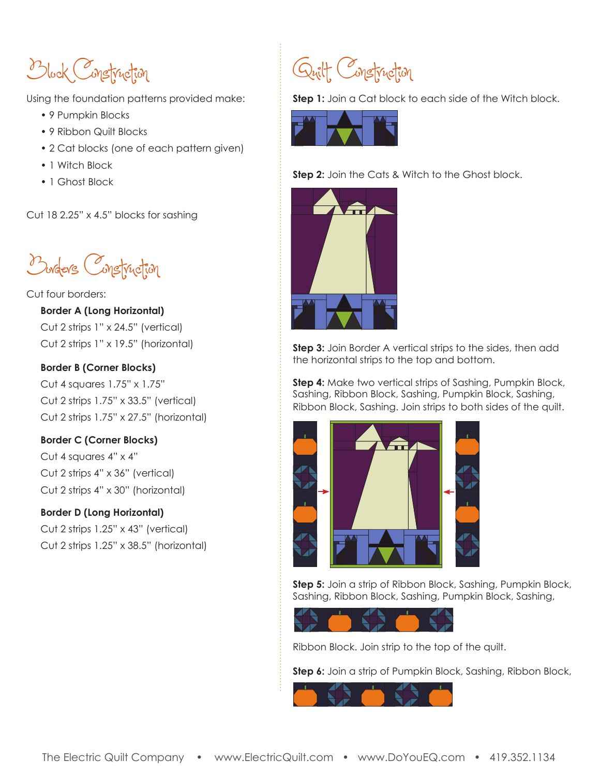Block Construction

Using the foundation patterns provided make:

- 9 Pumpkin Blocks
- 9 Ribbon Quilt Blocks
- 2 Cat blocks (one of each pattern given)
- 1 Witch Block
- 1 Ghost Block

Cut 18 2.25" x 4.5" blocks for sashing

Borders Construction

## Cut four borders:

**Border A (Long Horizontal)**

Cut 2 strips 1" x 24.5" (vertical) Cut 2 strips 1" x 19.5" (horizontal)

## **Border B (Corner Blocks)**

Cut 4 squares 1.75" x 1.75" Cut 2 strips 1.75" x 33.5" (vertical) Cut 2 strips 1.75" x 27.5" (horizontal)

# **Border C (Corner Blocks)**

Cut 4 squares 4" x 4" Cut 2 strips 4" x 36" (vertical) Cut 2 strips 4" x 30" (horizontal)

# **Border D (Long Horizontal)**

Cut 2 strips 1.25" x 43" (vertical) Cut 2 strips 1.25" x 38.5" (horizontal)



**Step 1:** Join a Cat block to each side of the Witch block.



**Step 2:** Join the Cats & Witch to the Ghost block.



**Step 3:** Join Border A vertical strips to the sides, then add the horizontal strips to the top and bottom.

**Step 4:** Make two vertical strips of Sashing, Pumpkin Block, Sashing, Ribbon Block, Sashing, Pumpkin Block, Sashing, Ribbon Block, Sashing. Join strips to both sides of the quilt.



**Step 5:** Join a strip of Ribbon Block, Sashing, Pumpkin Block, Sashing, Ribbon Block, Sashing, Pumpkin Block, Sashing,



Ribbon Block. Join strip to the top of the quilt.

**Step 6:** Join a strip of Pumpkin Block, Sashing, Ribbon Block,

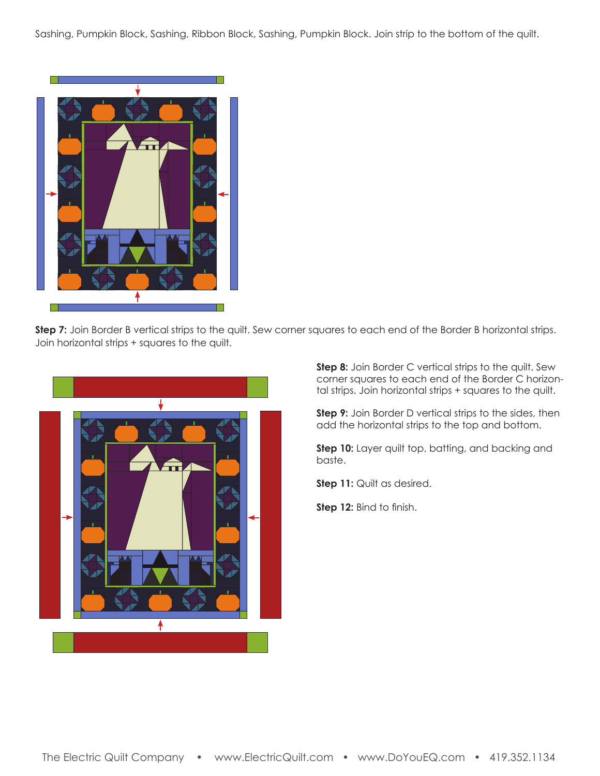Sashing, Pumpkin Block, Sashing, Ribbon Block, Sashing, Pumpkin Block. Join strip to the bottom of the quilt.



Step 7: Join Border B vertical strips to the quilt. Sew corner squares to each end of the Border B horizontal strips. Join horizontal strips + squares to the quilt.



**Step 8:** Join Border C vertical strips to the quilt. Sew corner squares to each end of the Border C horizontal strips. Join horizontal strips + squares to the quilt.

**Step 9:** Join Border D vertical strips to the sides, then add the horizontal strips to the top and bottom.

**Step 10:** Layer quilt top, batting, and backing and baste.

**Step 11:** Quilt as desired.

**Step 12:** Bind to finish.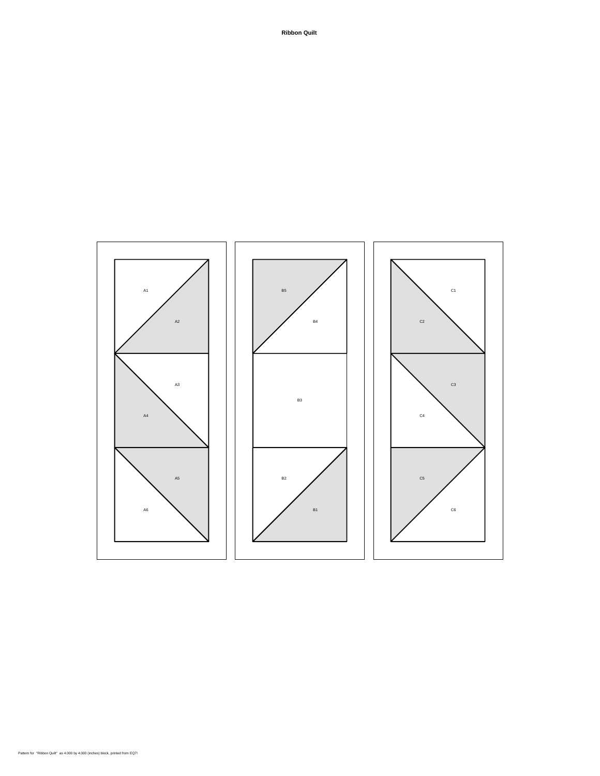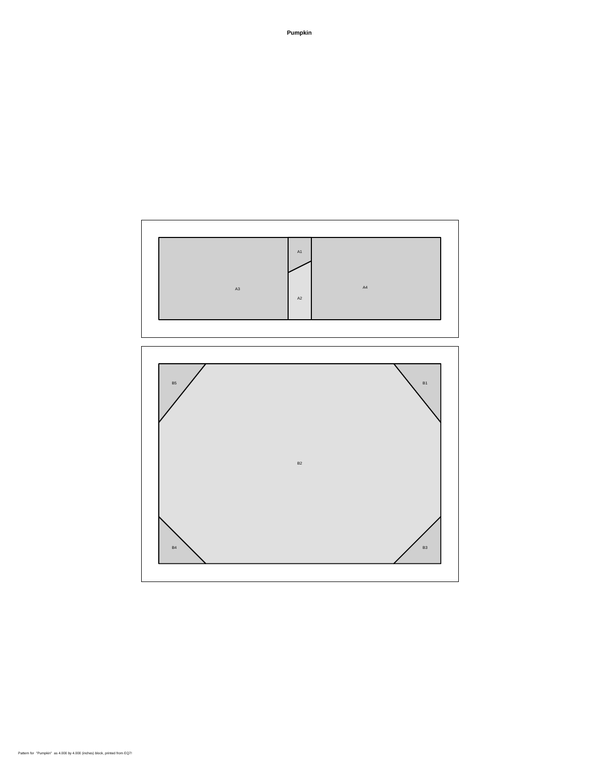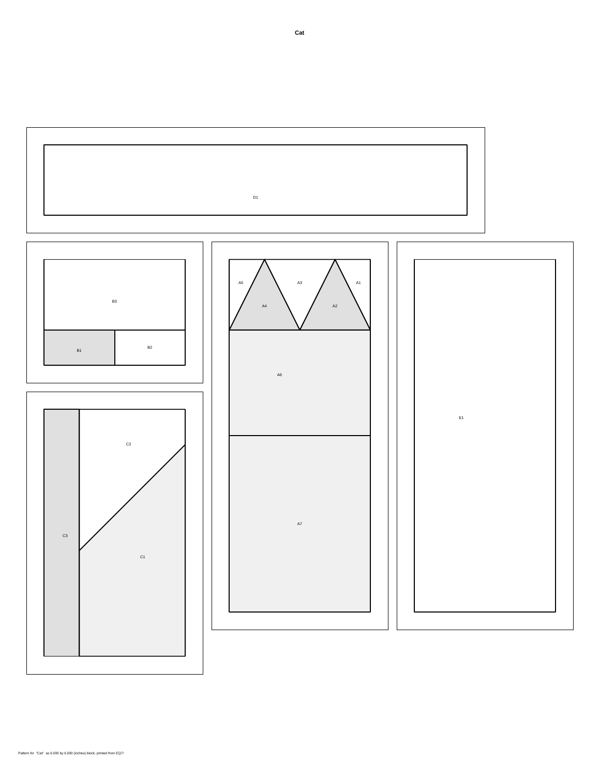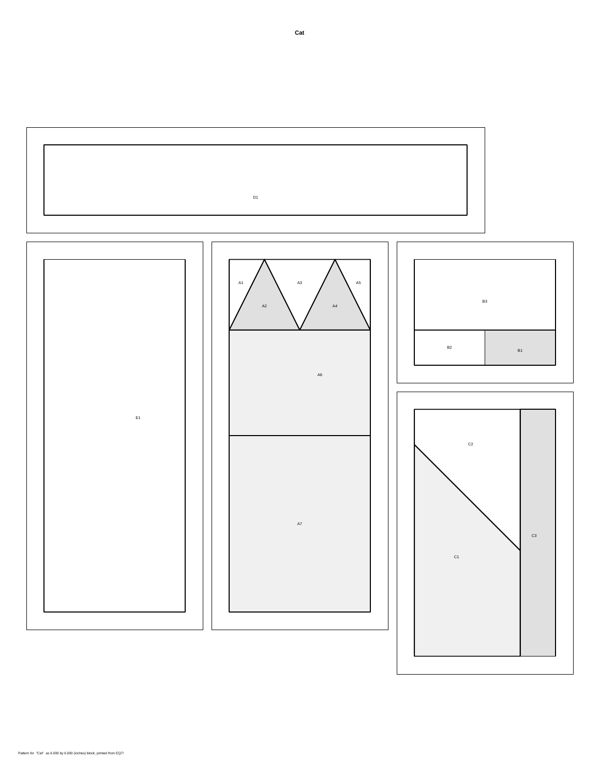

### Pattern for "Cat" as 6.000 by 6.000 (inches) block, printed from EQ7!

**Cat**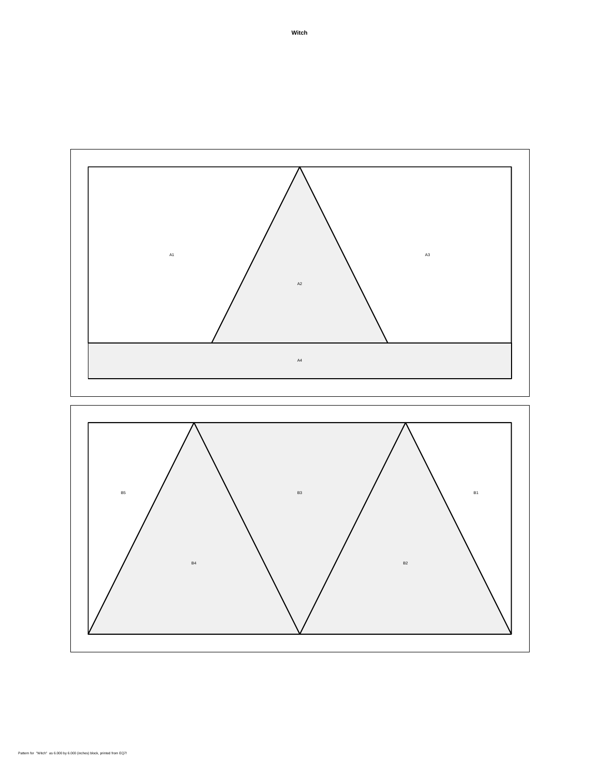

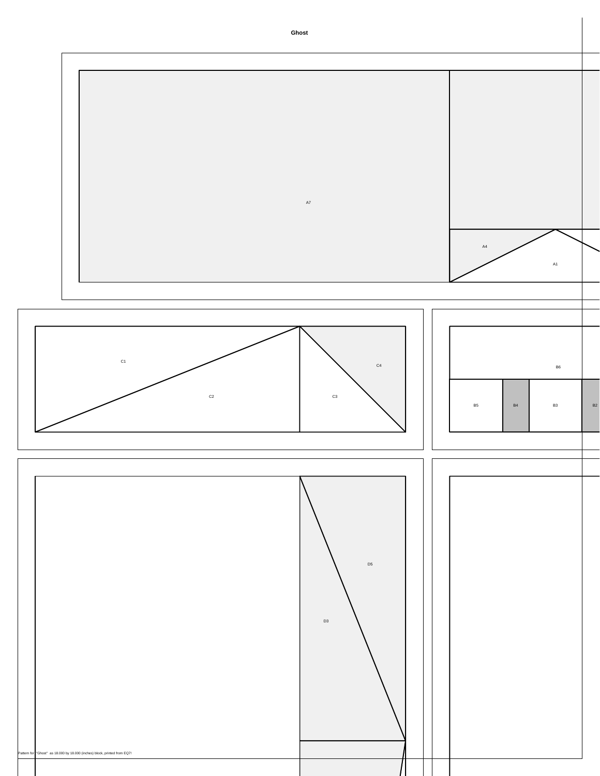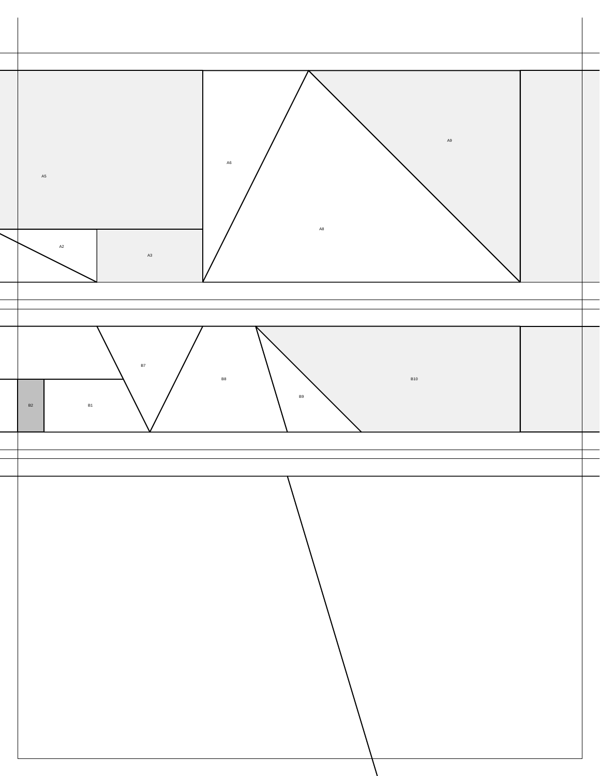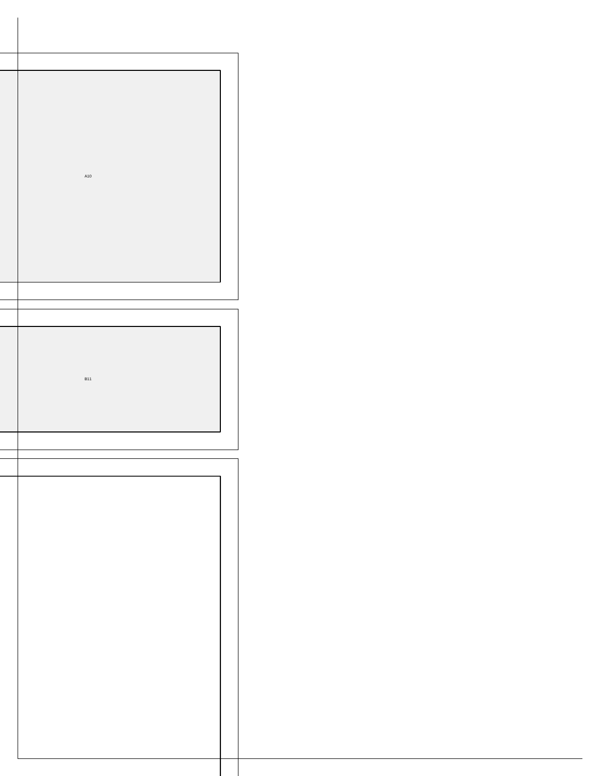|  | A10        |  |  |
|--|------------|--|--|
|  |            |  |  |
|  |            |  |  |
|  |            |  |  |
|  | <b>B11</b> |  |  |
|  |            |  |  |
|  |            |  |  |
|  |            |  |  |
|  |            |  |  |
|  |            |  |  |
|  |            |  |  |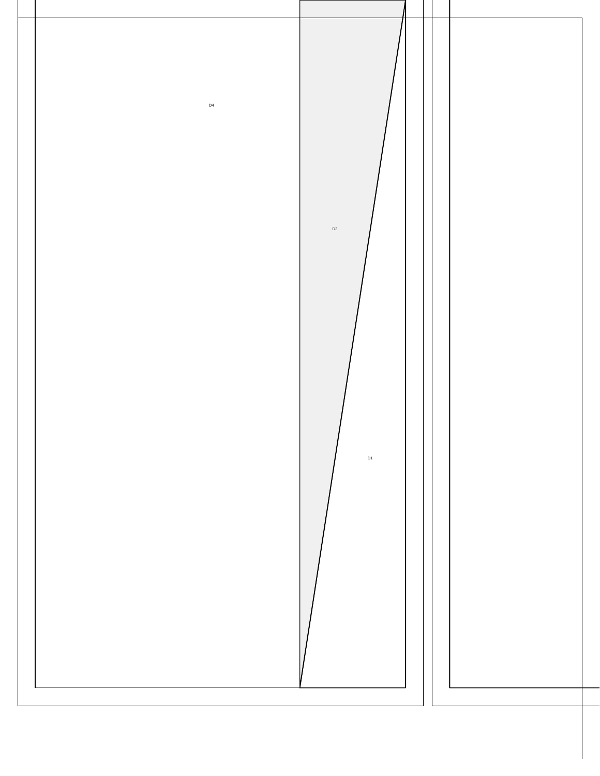